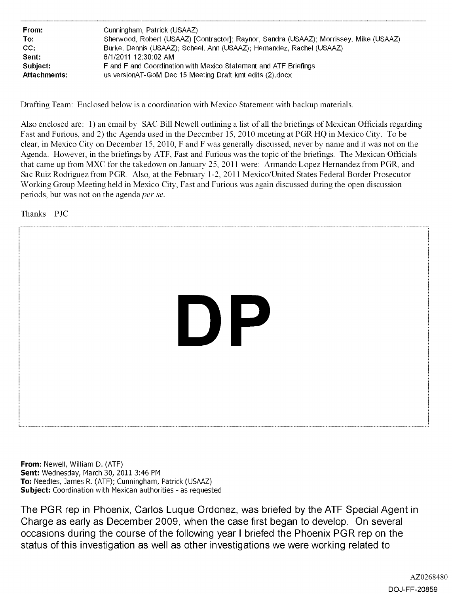| From:               | Cunningham, Patrick (USAAZ)                                                            |
|---------------------|----------------------------------------------------------------------------------------|
| To:                 | Sherwood, Robert (USAAZ) [Contractor]; Raynor, Sandra (USAAZ); Morrissey, Mike (USAAZ) |
| CC.                 | Burke, Dennis (USAAZ); Scheel, Ann (USAAZ); Hernandez, Rachel (USAAZ)                  |
| Sent:               | 6/1/2011 12:30:02 AM                                                                   |
| Subject:            | F and F and Coordination with Mexico Statement and ATF Briefings                       |
| <b>Attachments:</b> | us version AT-GoM Dec 15 Meeting Draft kmt edits (2).docx                              |

Drafting Team: Enclosed below is a coordination with Mexico Statement with backup materials.

Also enclosed are: 1) an email by SAC Bill Newell outlining a list of all the briefings of Mexican Officials regarding Fast and Furious, and 2) the Agenda used in the December 15, 2010 meeting at PGR HQ in Mexico City. To be clear, in Mexico City on December 15, 2010, F and F was generally discussed, never by name and it was not on the Agenda. However, in the briefings by ATF, Fast and Furious was the topic of the briefings. The Mexican Officials that came up from MXC for the takedown on January 25, 2011 were: Armando Lopez Hernandez from PGR, and Sac Ruiz Rodriguez from PGR. Also, at the February 1-2, 2011 Mexico/United States Federal Border Prosecutor Working Group Meeting held in Mexico City, Fast and Furious was again discussed during the open discussion periods, but was not on the agenda per se.

Thanks. PJC



**From:** Newell, William D. (ATF) **Sent:** Wednesday, March 30, 2011 3:46 PM **To:** Needles, James R. (ATF); Cunningham, Patrick (USAAZ) **Subject:** Coordination with Mexican authorities - as requested

The PGR rep in Phoenix, Carlos Luque Ordonez, was briefed by the **ATF** Special Agent in Charge as early as December 2009, when the case first began to develop. On several occasions during the course of the following year I briefed the Phoenix PGR rep on the status of this investigation as well as other investigations we were working related to

> AZ0268480 DOJ-FF-20859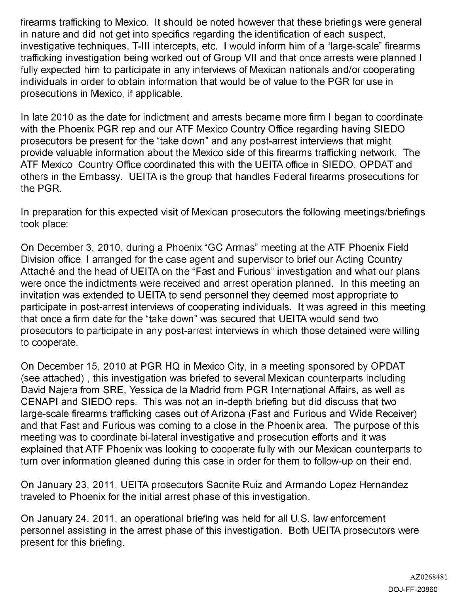firearms trafficking to Mexico. It should be noted however that these briefings were general in nature and did not get into specifics regarding the identification of each suspect, investigative techniques, T-III intercepts, etc. I would inform him of a "large-scale" firearms trafficking investigation being worked out of Group VII and that once arrests were planned I fully expected him to participate in any interviews of Mexican nationals and/or cooperating individuals in order to obtain information that would be of value to the PGR for use in prosecutions in Mexico, if applicable.

In late 2010 as the date for indictment and arrests became more firm I began to coordinate with the Phoenix PGR rep and our ATF Mexico Country Office regarding having SIEDO prosecutors be present for the "take down" and any post-arrest interviews that might provide valuable information about the Mexico side of this firearms trafficking network. The ATF Mexico Country Office coordinated this with the UEITA office in SIEDO, OPDAT and others in the Embassy. UEITA is the group that handles Federal firearms prosecutions for the PGR.

In preparation for this expected visit of Mexican prosecutors the following meetings/briefings took place:

On December 3, 2010, during a Phoenix "GC Armas" meeting at the ATF Phoenix Field Division office, I arranged for the case agent and supervisor to brief our Acting Country Attaché and the head of UEITA on the "Fast and Furious" investigation and what our plans were once the indictments were received and arrest operation planned. In this meeting an invitation was extended to UEITA to send personnel they deemed most appropriate to participate in post-arrest interviews of cooperating individuals. It was agreed in this meeting that once a firm date for the "take down" was secured that UEITA would send two prosecutors to participate in any post-arrest interviews in which those detained were willing to cooperate.

On December 15, 2010 at PGR HQ in Mexico City, in a meeting sponsored by OPDAT (see attached) , this investigation was briefed to several Mexican counterparts including David Najera from SRE, Yessica de la Madrid from PGR International Affairs, as well as CENAPI and SIEDO reps. This was not an in-depth briefing but did discuss that two large-scale firearms trafficking cases out of Arizona (Fast and Furious and Wide Receiver) and that Fast and Furious was coming to a close in the Phoenix area. The purpose of this meeting was to coordinate bi-lateral investigative and prosecution efforts and it was explained that ATF Phoenix was looking to cooperate fully with our Mexican counterparts to turn over information gleaned during this case in order for them to follow-up on their end.

On January 23, 2011, UEITA prosecutors Sacnite Ruiz and Armando Lopez Hernandez traveled to Phoenix for the initial arrest phase of this investigation.

On January 24, 2011, an operational briefing was held for all U.S. law enforcement personnel assisting in the arrest phase of this investigation. Both UEITA prosecutors were present for this briefing.